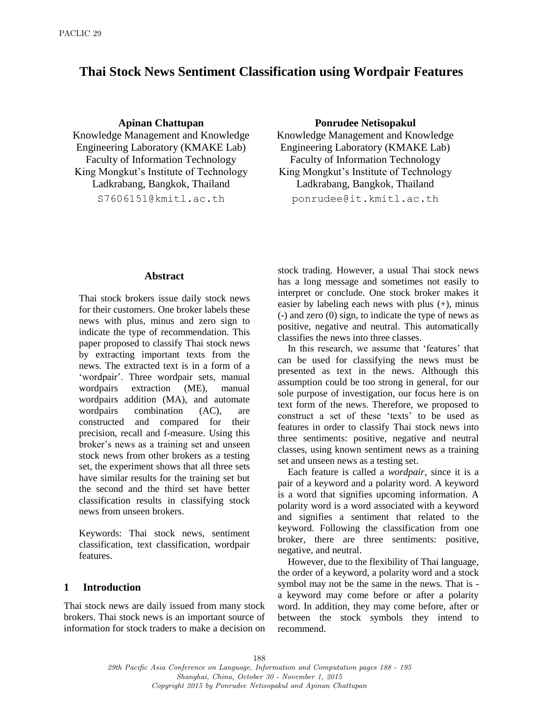# **Thai Stock News Sentiment Classification using Wordpair Features**

Knowledge Management and Knowledge Engineering Laboratory (KMAKE Lab) Faculty of Information Technology Faculty of Information Technology King Mongkut's Institute of Technology Ladkrabang, Bangkok, Thailand

#### **Apinan Chattupan Ponrudee Netisopakul**

Knowledge Management and Knowledge Engineering Laboratory (KMAKE Lab) King Mongkut's Institute of Technology Ladkrabang, Bangkok, Thailand

S7606151@kmitl.ac.th ponrudee@it.kmitl.ac.th

#### **Abstract**

Thai stock brokers issue daily stock news for their customers. One broker labels these news with plus, minus and zero sign to indicate the type of recommendation. This paper proposed to classify Thai stock news by extracting important texts from the news. The extracted text is in a form of a 'wordpair'. Three wordpair sets, manual wordpairs extraction (ME), manual wordpairs addition (MA), and automate wordpairs combination (AC), are constructed and compared for their precision, recall and f-measure. Using this broker's news as a training set and unseen stock news from other brokers as a testing set, the experiment shows that all three sets have similar results for the training set but the second and the third set have better classification results in classifying stock news from unseen brokers.

Keywords: Thai stock news, sentiment classification, text classification, wordpair features.

#### **1 Introduction**

Thai stock news are daily issued from many stock brokers. Thai stock news is an important source of information for stock traders to make a decision on stock trading. However, a usual Thai stock news has a long message and sometimes not easily to interpret or conclude. One stock broker makes it easier by labeling each news with plus  $(+)$ , minus (-) and zero (0) sign, to indicate the type of news as positive, negative and neutral. This automatically classifies the news into three classes.

In this research, we assume that 'features' that can be used for classifying the news must be presented as text in the news. Although this assumption could be too strong in general, for our sole purpose of investigation, our focus here is on text form of the news. Therefore, we proposed to construct a set of these 'texts' to be used as features in order to classify Thai stock news into three sentiments: positive, negative and neutral classes, using known sentiment news as a training set and unseen news as a testing set.

Each feature is called a *wordpair*, since it is a pair of a keyword and a polarity word. A keyword is a word that signifies upcoming information. A polarity word is a word associated with a keyword and signifies a sentiment that related to the keyword. Following the classification from one broker, there are three sentiments: positive, negative, and neutral.

However, due to the flexibility of Thai language, the order of a keyword, a polarity word and a stock symbol may not be the same in the news. That is a keyword may come before or after a polarity word. In addition, they may come before, after or between the stock symbols they intend to recommend.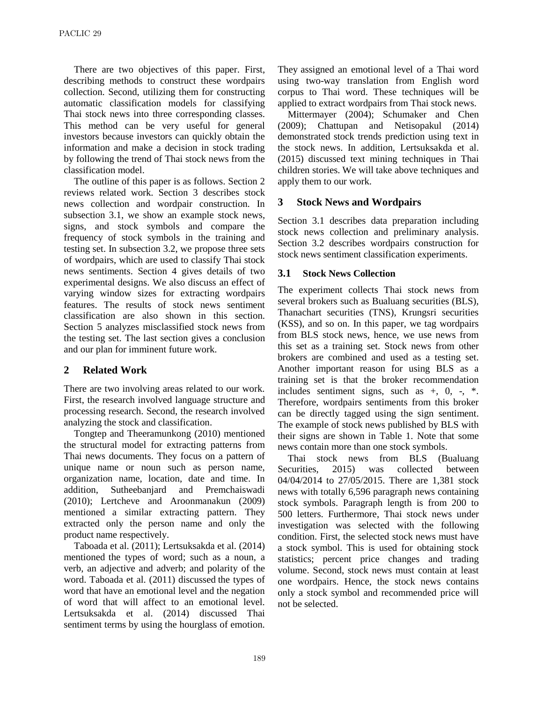There are two objectives of this paper. First, describing methods to construct these wordpairs collection. Second, utilizing them for constructing automatic classification models for classifying Thai stock news into three corresponding classes. This method can be very useful for general investors because investors can quickly obtain the information and make a decision in stock trading by following the trend of Thai stock news from the classification model.

The outline of this paper is as follows. Section 2 reviews related work. Section 3 describes stock news collection and wordpair construction. In subsection 3.1, we show an example stock news, signs, and stock symbols and compare the frequency of stock symbols in the training and testing set. In subsection 3.2, we propose three sets of wordpairs, which are used to classify Thai stock news sentiments. Section 4 gives details of two experimental designs. We also discuss an effect of varying window sizes for extracting wordpairs features. The results of stock news sentiment classification are also shown in this section. Section 5 analyzes misclassified stock news from the testing set. The last section gives a conclusion and our plan for imminent future work.

## **2 Related Work**

There are two involving areas related to our work. First, the research involved language structure and processing research. Second, the research involved analyzing the stock and classification.

Tongtep and Theeramunkong (2010) mentioned the structural model for extracting patterns from Thai news documents. They focus on a pattern of unique name or noun such as person name, organization name, location, date and time. In addition, Sutheebanjard and Premchaiswadi (2010); Lertcheve and Aroonmanakun (2009) mentioned a similar extracting pattern. They extracted only the person name and only the product name respectively.

Taboada et al. (2011); Lertsuksakda et al. (2014) mentioned the types of word; such as a noun, a verb, an adjective and adverb; and polarity of the word. Taboada et al. (2011) discussed the types of word that have an emotional level and the negation of word that will affect to an emotional level. Lertsuksakda et al. (2014) discussed Thai sentiment terms by using the hourglass of emotion.

They assigned an emotional level of a Thai word using two-way translation from English word corpus to Thai word. These techniques will be applied to extract wordpairs from Thai stock news.

Mittermayer (2004); Schumaker and Chen (2009); Chattupan and Netisopakul (2014) demonstrated stock trends prediction using text in the stock news. In addition, Lertsuksakda et al. (2015) discussed text mining techniques in Thai children stories. We will take above techniques and apply them to our work.

### **3 Stock News and Wordpairs**

Section 3.1 describes data preparation including stock news collection and preliminary analysis. Section 3.2 describes wordpairs construction for stock news sentiment classification experiments.

#### **3.1 Stock News Collection**

The experiment collects Thai stock news from several brokers such as Bualuang securities (BLS), Thanachart securities (TNS), Krungsri securities (KSS), and so on. In this paper, we tag wordpairs from BLS stock news, hence, we use news from this set as a training set. Stock news from other brokers are combined and used as a testing set. Another important reason for using BLS as a training set is that the broker recommendation includes sentiment signs, such as +, 0, -, \*. Therefore, wordpairs sentiments from this broker can be directly tagged using the sign sentiment. The example of stock news published by BLS with their signs are shown in Table 1. Note that some news contain more than one stock symbols.

Thai stock news from BLS (Bualuang Securities, 2015) was collected between 04/04/2014 to 27/05/2015. There are 1,381 stock news with totally 6,596 paragraph news containing stock symbols. Paragraph length is from 200 to 500 letters. Furthermore, Thai stock news under investigation was selected with the following condition. First, the selected stock news must have a stock symbol. This is used for obtaining stock statistics; percent price changes and trading volume. Second, stock news must contain at least one wordpairs. Hence, the stock news contains only a stock symbol and recommended price will not be selected.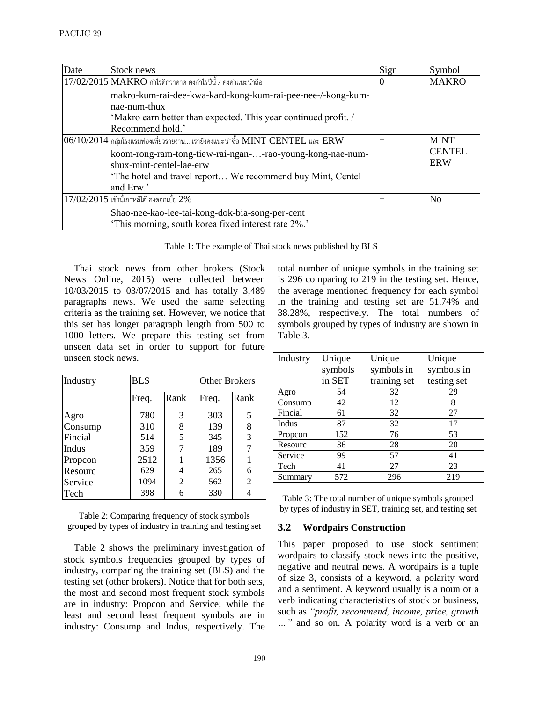| Date | Stock news                                                                                                                                                       | Sign     | Symbol                      |
|------|------------------------------------------------------------------------------------------------------------------------------------------------------------------|----------|-----------------------------|
|      | $17/02/2015$ MAKRO กำไรดีกว่าคาด คงกำไรปีนี้ / คงคำแนะนำถือ                                                                                                      | $\theta$ | <b>MAKRO</b>                |
|      | makro-kum-rai-dee-kwa-kard-kong-kum-rai-pee-nee-/-kong-kum-<br>nae-num-thux<br>'Makro earn better than expected. This year continued profit.<br>Recommend hold.' |          |                             |
|      | $ 06/10/2014$ กลุ่มโรงแรมท่องเที่ยวรายงาน เรายังคงแนะนำซื้อ MINT CENTEL และ ERW                                                                                  |          | <b>MINT</b>                 |
|      | koom-rong-ram-tong-tiew-rai-ngan--rao-young-kong-nae-num-<br>shux-mint-centel-lae-erw<br>'The hotel and travel report We recommend buy Mint, Centel              |          | <b>CENTEL</b><br><b>ERW</b> |
|      | and Erw.'                                                                                                                                                        |          |                             |
|      | $17/02/2015$ เข้านี้เกาหลีใต้ คงดอกเบี้ย $2\%$                                                                                                                   | $+$      | N <sub>0</sub>              |
|      | Shao-nee-kao-lee-tai-kong-dok-bia-song-per-cent<br>'This morning, south korea fixed interest rate 2%.'                                                           |          |                             |

Table 1: The example of Thai stock news published by BLS

Thai stock news from other brokers (Stock News Online, 2015) were collected between 10/03/2015 to 03/07/2015 and has totally 3,489 paragraphs news. We used the same selecting criteria as the training set. However, we notice that this set has longer paragraph length from 500 to 1000 letters. We prepare this testing set from unseen data set in order to support for future unseen stock news.

| Industry     | <b>BLS</b> |      | <b>Other Brokers</b> |                |  |
|--------------|------------|------|----------------------|----------------|--|
|              | Freq.      | Rank | Freq.                | Rank           |  |
| Agro         | 780        | 3    | 303                  | 5              |  |
| Consump      | 310        | 8    | 139                  | 8              |  |
| Fincial      | 514        | 5    | 345                  | 3              |  |
| <b>Indus</b> | 359        |      | 189                  | 7              |  |
| Propcon      | 2512       |      | 1356                 |                |  |
| Resourc      | 629        | 4    | 265                  | 6              |  |
| Service      | 1094       | 2    | 562                  | $\overline{2}$ |  |
| Tech         | 398        | 6    | 330                  | 4              |  |

Table 2: Comparing frequency of stock symbols grouped by types of industry in training and testing set

Table 2 shows the preliminary investigation of stock symbols frequencies grouped by types of industry, comparing the training set (BLS) and the testing set (other brokers). Notice that for both sets, the most and second most frequent stock symbols are in industry: Propcon and Service; while the least and second least frequent symbols are in industry: Consump and Indus, respectively. The total number of unique symbols in the training set is 296 comparing to 219 in the testing set. Hence, the average mentioned frequency for each symbol in the training and testing set are 51.74% and 38.28%, respectively. The total numbers of symbols grouped by types of industry are shown in Table 3.

| Industry | Unique  | Unique       | Unique      |
|----------|---------|--------------|-------------|
|          | symbols | symbols in   | symbols in  |
|          | in SET  | training set | testing set |
| Agro     | 54      | 32           | 29          |
| Consump  | 42      | 12           | 8           |
| Fincial  | 61      | 32           | 27          |
| Indus    | 87      | 32           | 17          |
| Propcon  | 152     | 76           | 53          |
| Resourc  | 36      | 28           | 20          |
| Service  | 99      | 57           | 41          |
| Tech     | 41      | 27           | 23          |
| Summary  | 572     | 296          | 219         |

Table 3: The total number of unique symbols grouped by types of industry in SET, training set, and testing set

## **3.2 Wordpairs Construction**

This paper proposed to use stock sentiment wordpairs to classify stock news into the positive, negative and neutral news. A wordpairs is a tuple of size 3, consists of a keyword, a polarity word and a sentiment. A keyword usually is a noun or a verb indicating characteristics of stock or business, such as *"profit, recommend, income, price, growth …"* and so on. A polarity word is a verb or an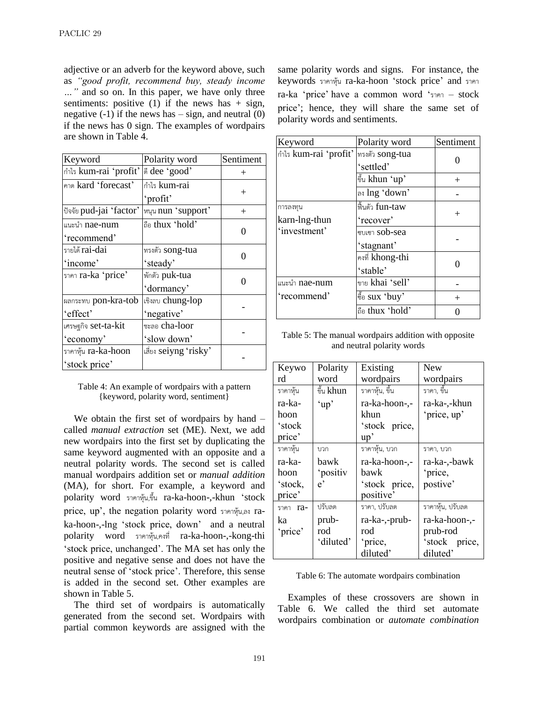adjective or an adverb for the keyword above, such as *"good profit, recommend buy, steady income …"* and so on. In this paper, we have only three sentiments: positive (1) if the news has  $+$  sign, negative  $(-1)$  if the news has  $-$  sign, and neutral  $(0)$ if the news has 0 sign. The examples of wordpairs are shown in Table 4.

| Keyword                 | Polarity word            | Sentiment |
|-------------------------|--------------------------|-----------|
| กำไร kum-rai 'profit'   | dee 'good'               | $^{+}$    |
| คาด kard 'forecast'     | กำไร kum-rai             |           |
|                         | 'profit'                 | $+$       |
| ปัจจัย pud-jai 'factor' | หนุน nun 'support'       | $^{+}$    |
| แนะนำ nae-num           | ถือ thux 'hold'          | ⋂         |
| 'recommend'             |                          |           |
| รายได้ rai-dai          | ทรงตัว song-tua          | 0         |
| 'income'                | 'steady'                 |           |
| ราคา ra-ka 'price'      | พักตัว puk-tua           | ∩         |
|                         | 'dormancy'               |           |
| ผลกระทบ pon-kra-tob     | เชิงลบ chung-lop         |           |
| 'effect'                | 'negative'               |           |
| เศรษฐกิจ set-ta-kit     | <sub>ชะลอ</sub> cha-loor |           |
| 'economy'               | 'slow down'              |           |
| ราคาหุ้น ra-ka-hoon     | เสี่ยง seiyng 'risky'    |           |
| 'stock price'           |                          |           |

Table 4: An example of wordpairs with a pattern {keyword, polarity word, sentiment}

We obtain the first set of wordpairs by hand – called *manual extraction* set (ME). Next, we add new wordpairs into the first set by duplicating the same keyword augmented with an opposite and a neutral polarity words. The second set is called manual wordpairs addition set or *manual addition* (MA), for short. For example, a keyword and polarity word รำคำหุ้น,ขึ้น ra-ka-hoon-,-khun 'stock price, up', the negation polarity word รำคำหุ้น,ลง raka-hoon-,-lng 'stock price, down' and a neutral polarity word รำคำหุ้น,คงที่ ra-ka-hoon-,-kong-thi 'stock price, unchanged'. The MA set has only the positive and negative sense and does not have the neutral sense of 'stock price'. Therefore, this sense is added in the second set. Other examples are shown in Table 5.

The third set of wordpairs is automatically generated from the second set. Wordpairs with partial common keywords are assigned with the same polarity words and signs. For instance, the keywords รำคำหุ้น ra-ka-hoon 'stock price' and รำคำ ra-ka 'price' have a common word 'รำคำ – stock price'; hence, they will share the same set of polarity words and sentiments.

| Keyword               | Polarity word   | Sentiment |
|-----------------------|-----------------|-----------|
| กำไร kum-rai 'profit' | ทรงตัว song-tua |           |
|                       | 'settled'       |           |
|                       | ขึ้น khun 'up'  | $^{+}$    |
|                       | ลง Ing 'down'   |           |
| การลงทุน              | ฟื้นตัว fun-taw | $^{+}$    |
| karn-lng-thun         | 'recover'       |           |
| 'investment'          | ชบเซา sob-sea   |           |
|                       | 'stagnant'      |           |
|                       | คงที่ khong-thi |           |
|                       | 'stable'        |           |
| แนะนำ <b>nae-num</b>  | ขาย khai 'sell' |           |
| 'recommend'           | ชื้อ sux 'buy'  |           |
|                       | ลือ thux 'hold' |           |

Table 5: The manual wordpairs addition with opposite and neutral polarity words

| Keywo    | Polarity     | Existing       | <b>New</b>       |
|----------|--------------|----------------|------------------|
| rd       | word         | wordpairs      | wordpairs        |
| ราคาหุ้น | ขึ้น khun    | ราคาหุ้น, ขึ้น | ราคา, ขึ้น       |
| ra-ka-   | 'up'         | ra-ka-hoon-,-  | ra-ka-,-khun     |
| hoon     |              | khun           | 'price, up'      |
| 'stock   |              | 'stock price,  |                  |
| price'   |              | up'            |                  |
| ราคาหุ้น | บวก          | ราคาหุ้น, บวก  | ราคา, บวก        |
| ra-ka-   | bawk         | ra-ka-hoon-,-  | ra-ka-,-bawk     |
| hoon     | 'positiv     | hawk           | 'price,          |
| 'stock,  | $e^{\prime}$ | 'stock price,  | postive'         |
| price'   |              | positive'      |                  |
| ราคา ra- | ปรับลด       | ราคา, ปรับลด   | ราคาหุ้น, ปรับลด |
| ka       | prub-        | ra-ka-,-prub-  | ra-ka-hoon-,-    |
| 'price'  | rod          | rod            | prub-rod         |
|          | 'diluted'    | 'price,        | 'stock price,    |
|          |              | diluted'       | diluted'         |

Table 6: The automate wordpairs combination

Examples of these crossovers are shown in Table 6. We called the third set automate wordpairs combination or *automate combination*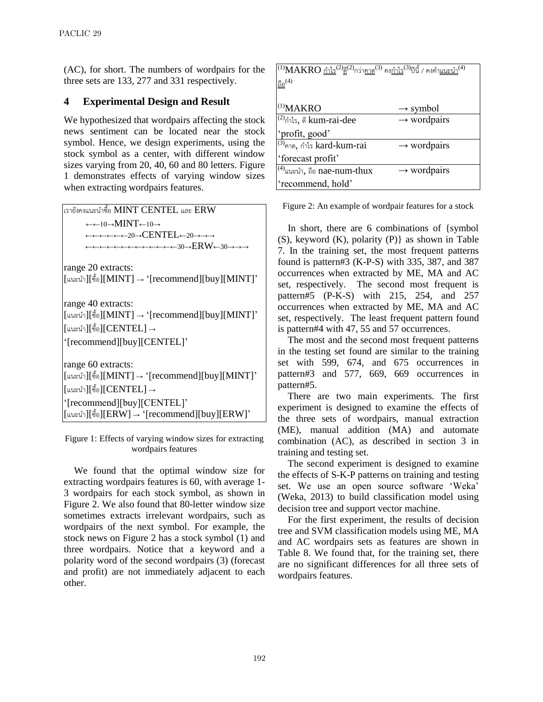(AC), for short. The numbers of wordpairs for the three sets are 133, 277 and 331 respectively.

## **4 Experimental Design and Result**

We hypothesized that wordpairs affecting the stock news sentiment can be located near the stock symbol. Hence, we design experiments, using the stock symbol as a center, with different window sizes varying from 20, 40, 60 and 80 letters. Figure 1 demonstrates effects of varying window sizes when extracting wordpairs features.



Figure 1: Effects of varying window sizes for extracting wordpairs features

We found that the optimal window size for extracting wordpairs features is 60, with average 1- 3 wordpairs for each stock symbol, as shown in Figure 2. We also found that 80-letter window size sometimes extracts irrelevant wordpairs, such as wordpairs of the next symbol. For example, the stock news on Figure 2 has a stock symbol (1) and three wordpairs. Notice that a keyword and a polarity word of the second wordpairs (3) (forecast and profit) are not immediately adjacent to each other.

| $^{(1)}\text{MAKRO}$ กำไร $^{(2)}$ ดี $^{(2)}$ กว่า <u>คาด</u> $^{(3)}$ คง <u>กำไร</u> $^{(3)}$ ปีนี้ / คงคำ <u>แนะน</u> ำ $^{(4)}$ |                         |
|-------------------------------------------------------------------------------------------------------------------------------------|-------------------------|
| $\underline{\mathbb{S}}\underline{\mathbb{S}}^{(4)}$                                                                                |                         |
|                                                                                                                                     |                         |
| $(1)$ MAKRO                                                                                                                         | $\rightarrow$ symbol    |
| $^{(2)}$ กำไร, ดี kum-rai-dee                                                                                                       | $\rightarrow$ wordpairs |
| 'profit, good'                                                                                                                      |                         |
| <sup>(3)</sup> คาด, กำไร kard-kum-rai                                                                                               | $\rightarrow$ wordpairs |
| 'forecast profit'                                                                                                                   |                         |
| $\mathbf{u}^{(4)}$ แนะนำ, ถือ nae-num-thux                                                                                          | $\rightarrow$ wordpairs |
| 'recommend, hold'                                                                                                                   |                         |

Figure 2: An example of wordpair features for a stock

In short, there are 6 combinations of {symbol (S), keyword (K), polarity (P)} as shown in Table 7. In the training set, the most frequent patterns found is pattern#3 (K-P-S) with 335, 387, and 387 occurrences when extracted by ME, MA and AC set, respectively. The second most frequent is pattern#5 (P-K-S) with 215, 254, and 257 occurrences when extracted by ME, MA and AC set, respectively. The least frequent pattern found is pattern#4 with 47, 55 and 57 occurrences.

The most and the second most frequent patterns in the testing set found are similar to the training set with 599, 674, and 675 occurrences in pattern#3 and 577, 669, 669 occurrences in pattern#5.

There are two main experiments. The first experiment is designed to examine the effects of the three sets of wordpairs, manual extraction (ME), manual addition (MA) and automate combination (AC), as described in section 3 in training and testing set.

The second experiment is designed to examine the effects of S-K-P patterns on training and testing set. We use an open source software 'Weka' (Weka, 2013) to build classification model using decision tree and support vector machine.

For the first experiment, the results of decision tree and SVM classification models using ME, MA and AC wordpairs sets as features are shown in Table 8. We found that, for the training set, there are no significant differences for all three sets of wordpairs features.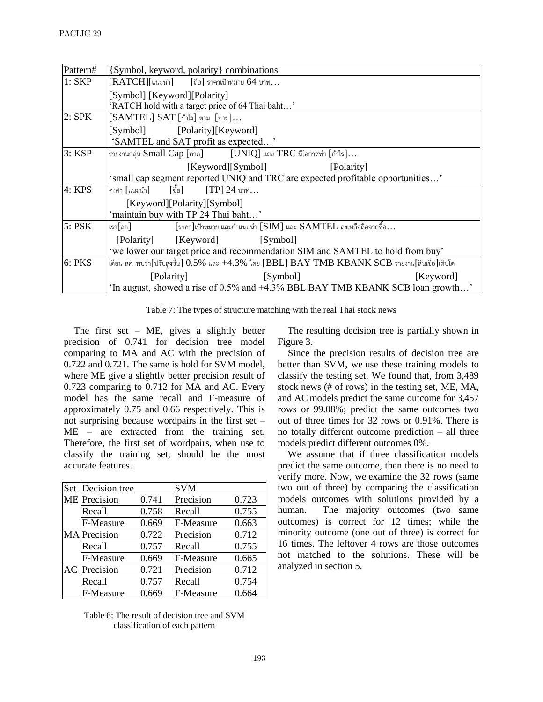| Pattern#      | {Symbol, keyword, polarity} combinations                                                             |  |  |  |  |
|---------------|------------------------------------------------------------------------------------------------------|--|--|--|--|
| $1:$ SKP      | $[RATCH][$ แนะนำ $]$ $[$ ถือ $]$ ราคาเป้าหมาย 64 บาท                                                 |  |  |  |  |
|               | [Symbol] [Keyword][Polarity]                                                                         |  |  |  |  |
|               | 'RATCH hold with a target price of 64 Thai baht'                                                     |  |  |  |  |
| $2:$ SPK      | [SAMTEL] SAT [กำไร] ตาม [คาด]                                                                        |  |  |  |  |
|               | [Symbol] [Polarity][Keyword]                                                                         |  |  |  |  |
|               | 'SAMTEL and SAT profit as expected'                                                                  |  |  |  |  |
| 3: KSP        | รายงานกลุ่ม Small Cap [คาด] $[UNIQ]$ และ TRC มีโอกาสทำ $[$ กำไร]                                     |  |  |  |  |
|               | [Keyword][Symbol]<br>[Polarity]                                                                      |  |  |  |  |
|               | 'small cap segment reported UNIQ and TRC are expected profitable opportunities'                      |  |  |  |  |
| 4: KPS        | [ขื้อ] [TP] 24 บาท<br>คงคำ [แนะนำ]                                                                   |  |  |  |  |
|               | [Keyword][Polarity][Symbol]                                                                          |  |  |  |  |
|               | 'maintain buy with TP 24 Thai baht'                                                                  |  |  |  |  |
| $5:$ PSK      | $[$ ราคา $]$ เป้าหมาย และคำแนะนำ $[SIM]$ และ $SAMTEL$ ลงเหลือถือจากซื้อ<br>เรา[ลด]                   |  |  |  |  |
|               | [Keyword]<br>[Symbol]<br>[Polarity]                                                                  |  |  |  |  |
|               | 'we lower our target price and recommendation SIM and SAMTEL to hold from buy'                       |  |  |  |  |
| <b>6: PKS</b> | เดือน สค. พบว่า[ปรับสูงขึ้น] $0.5\%$ และ $+4.3\%$ โดย [BBL] BAY TMB KBANK SCB รายงาน[สินเชื่อ]เติบโต |  |  |  |  |
|               | [Symbol]<br>[Polarity]<br>[Keyword]                                                                  |  |  |  |  |
|               | 'In august, showed a rise of 0.5% and +4.3% BBL BAY TMB KBANK SCB loan growth'                       |  |  |  |  |

Table 7: The types of structure matching with the real Thai stock news

The first set – ME, gives a slightly better precision of 0.741 for decision tree model comparing to MA and AC with the precision of 0.722 and 0.721. The same is hold for SVM model, where ME give a slightly better precision result of 0.723 comparing to 0.712 for MA and AC. Every model has the same recall and F-measure of approximately 0.75 and 0.66 respectively. This is not surprising because wordpairs in the first set – ME – are extracted from the training set. Therefore, the first set of wordpairs, when use to classify the training set, should be the most accurate features.

| Set | Decision tree       |       | <b>SVM</b> |       |
|-----|---------------------|-------|------------|-------|
|     | ME Precision        | 0.741 | Precision  | 0.723 |
|     | Recall              | 0.758 | Recall     | 0.755 |
|     | F-Measure           | 0.669 | F-Measure  | 0.663 |
|     | <b>MA</b> Precision | 0.722 | Precision  | 0.712 |
|     | Recall              | 0.757 | Recall     | 0.755 |
|     | F-Measure           | 0.669 | F-Measure  | 0.665 |
| AC  | Precision           | 0.721 | Precision  | 0.712 |
|     | Recall              | 0.757 | Recall     | 0.754 |
|     | F-Measure           | 0.669 | F-Measure  | 0.664 |

Table 8: The result of decision tree and SVM classification of each pattern

The resulting decision tree is partially shown in Figure 3.

Since the precision results of decision tree are better than SVM, we use these training models to classify the testing set. We found that, from 3,489 stock news (# of rows) in the testing set, ME, MA, and AC models predict the same outcome for 3,457 rows or 99.08%; predict the same outcomes two out of three times for 32 rows or 0.91%. There is no totally different outcome prediction – all three models predict different outcomes 0%.

We assume that if three classification models predict the same outcome, then there is no need to verify more. Now, we examine the 32 rows (same two out of three) by comparing the classification models outcomes with solutions provided by a human. The majority outcomes (two same outcomes) is correct for 12 times; while the minority outcome (one out of three) is correct for 16 times. The leftover 4 rows are those outcomes not matched to the solutions. These will be analyzed in section 5.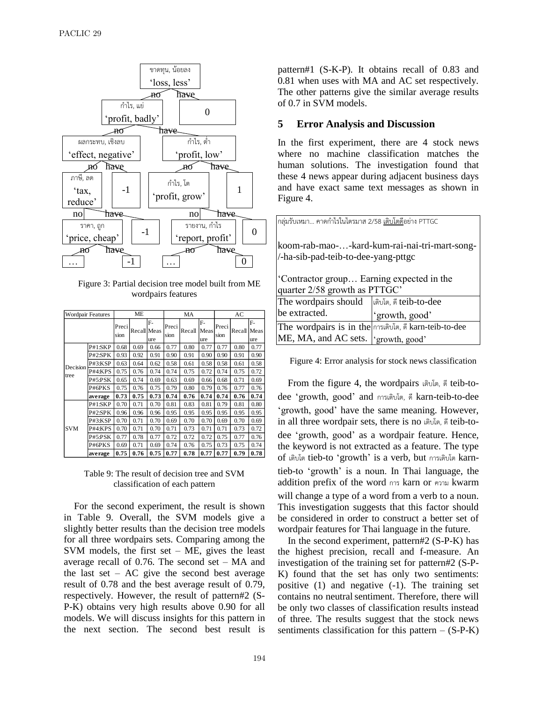

Figure 3: Partial decision tree model built from ME wordpairs features

| Wordpair Features |         |               | <b>ME</b>   |           |               | MA     |                   |               | AC<br>F-<br>Recall<br>Meas<br>ure<br>0.80<br>0.77 |      |
|-------------------|---------|---------------|-------------|-----------|---------------|--------|-------------------|---------------|---------------------------------------------------|------|
|                   |         | Preci<br>sion | Recall Meas | F-<br>ure | Preci<br>sion | Recall | F-<br>Meas<br>ure | Preci<br>sion |                                                   |      |
|                   | P#1:SKP | 0.68          | 0.69        | 0.66      | 0.77          | 0.80   | 0.77              | 0.77          |                                                   |      |
|                   | P#2:SPK | 0.93          | 0.92        | 0.91      | 0.90          | 0.91   | 0.90              | 0.90          | 0.91                                              | 0.90 |
| Decision          | P#3:KSP | 0.63          | 0.64        | 0.62      | 0.58          | 0.61   | 0.58              | 0.58          | 0.61                                              | 0.58 |
| tree              | P#4:KPS | 0.75          | 0.76        | 0.74      | 0.74          | 0.75   | 0.72              | 0.74          | 0.75                                              | 0.72 |
|                   | P#5:PSK | 0.65          | 0.74        | 0.69      | 0.63          | 0.69   | 0.66              | 0.68          | 0.71                                              | 0.69 |
|                   | P#6PKS  | 0.75          | 0.76        | 0.75      | 0.79          | 0.80   | 0.79              | 0.76          | 0.77                                              | 0.76 |
|                   | average | 0.73          | 0.75        | 0.73      | 0.74          | 0.76   | 0.74              | 0.74          | 0.76                                              | 0.74 |
|                   | P#1:SKP | 0.70          | 0.71        | 0.70      | 0.81          | 0.83   | 0.81              | 0.79          | 0.81                                              | 0.80 |
|                   | P#2:SPK | 0.96          | 0.96        | 0.96      | 0.95          | 0.95   | 0.95              | 0.95          | 0.95                                              | 0.95 |
|                   | P#3:KSP | 0.70          | 0.71        | 0.70      | 0.69          | 0.70   | 0.70              | 0.69          | 0.70                                              | 0.69 |
| <b>SVM</b>        | P#4:KPS | 0.70          | 0.71        | 0.70      | 0.71          | 0.73   | 0.71              | 0.71          | 0.73                                              | 0.72 |
|                   | P#5:PSK | 0.77          | 0.78        | 0.77      | 0.72          | 0.72   | 0.72              | 0.75          | 0.77                                              | 0.76 |
|                   | P#6PKS  | 0.69          | 0.71        | 0.69      | 0.74          | 0.76   | 0.75              | 0.73          | 0.75                                              | 0.74 |
|                   | average | 0.75          | 0.76        | 0.75      | 0.77          | 0.78   | 0.77              | 0.77          | 0.79                                              | 0.78 |

Table 9: The result of decision tree and SVM classification of each pattern

For the second experiment, the result is shown in Table 9. Overall, the SVM models give a slightly better results than the decision tree models for all three wordpairs sets. Comparing among the SVM models, the first set  $-$  ME, gives the least average recall of 0.76. The second set – MA and the last set –  $AC$  give the second best average result of 0.78 and the best average result of 0.79, respectively. However, the result of pattern#2 (S-P-K) obtains very high results above 0.90 for all models. We will discuss insights for this pattern in the next section. The second best result is

pattern#1 (S-K-P). It obtains recall of 0.83 and 0.81 when uses with MA and AC set respectively. The other patterns give the similar average results of 0.7 in SVM models.

#### **5 Error Analysis and Discussion**

In the first experiment, there are 4 stock news where no machine classification matches the human solutions. The investigation found that these 4 news appear during adjacent business days and have exact same text messages as shown in Figure 4.

| กลุ่มรับเหมา คาดกำไรในไตรมาส 2/58 <u>เติบโตด</u> ีอย่าง PTTGC                        |                                                        |  |  |  |  |
|--------------------------------------------------------------------------------------|--------------------------------------------------------|--|--|--|--|
| koom-rab-mao--kard-kum-rai-nai-tri-mart-song-<br>/-ha-sib-pad-teib-to-dee-yang-pttgc |                                                        |  |  |  |  |
| 'Contractor group Earning expected in the<br>quarter 2/58 growth as PTTGC'           |                                                        |  |  |  |  |
| The wordpairs should                                                                 | เติบโต, ดี teib-to-dee                                 |  |  |  |  |
| be extracted.                                                                        | 'growth, good'                                         |  |  |  |  |
|                                                                                      | The wordpairs is in the การเติบโต, ดี karn-teib-to-dee |  |  |  |  |

Figure 4: Error analysis for stock news classification

ME, MA, and AC sets. 'growth, good'

From the figure 4, the wordpairs เติบโต, ดีteib-todee 'growth, good' and กำรเติบโต, ดีkarn-teib-to-dee 'growth, good' have the same meaning. However, in all three wordpair sets, there is no เติบโต, ดีteib-todee 'growth, good' as a wordpair feature. Hence, the keyword is not extracted as a feature. The type of เติบโต tieb-to 'growth' is a verb, but กำรเติบโต karntieb-to 'growth' is a noun. In Thai language, the addition prefix of the word กำร karn or ควำม kwarm will change a type of a word from a verb to a noun. This investigation suggests that this factor should be considered in order to construct a better set of wordpair features for Thai language in the future.

In the second experiment, pattern#2 (S-P-K) has the highest precision, recall and f-measure. An investigation of the training set for pattern#2 (S-P-K) found that the set has only two sentiments: positive (1) and negative (-1). The training set contains no neutral sentiment. Therefore, there will be only two classes of classification results instead of three. The results suggest that the stock news sentiments classification for this pattern  $-$  (S-P-K)